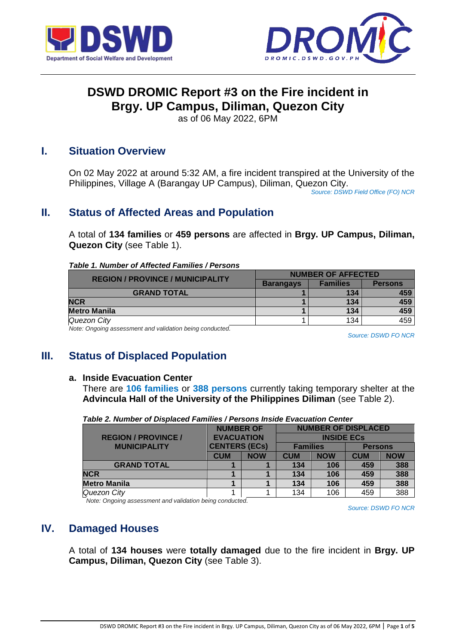



# **DSWD DROMIC Report #3 on the Fire incident in Brgy. UP Campus, Diliman, Quezon City**

as of 06 May 2022, 6PM

### **I. Situation Overview**

On 02 May 2022 at around 5:32 AM, a fire incident transpired at the University of the Philippines, Village A (Barangay UP Campus), Diliman, Quezon City.

*Source: DSWD Field Office (FO) NCR*

## **II. Status of Affected Areas and Population**

A total of **134 families** or **459 persons** are affected in **Brgy. UP Campus, Diliman, Quezon City** (see Table 1).

### *Table 1. Number of Affected Families / Persons*

| <b>REGION / PROVINCE / MUNICIPALITY</b> | <b>NUMBER OF AFFECTED</b> |                 |                |  |
|-----------------------------------------|---------------------------|-----------------|----------------|--|
|                                         | <b>Barangays</b>          | <b>Families</b> | <b>Persons</b> |  |
| <b>GRAND TOTAL</b>                      |                           | 134             | 459            |  |
| <b>NCR</b>                              |                           | 134             | 459            |  |
| <b>Metro Manila</b>                     |                           | 134             | 459            |  |
| Quezon City                             |                           | 134             | 459            |  |
|                                         |                           |                 |                |  |

*Note: Ongoing assessment and validation being conducted.* 

*Source: DSWD FO NCR*

## **III. Status of Displaced Population**

#### **a. Inside Evacuation Center**

There are **106 families** or **388 persons** currently taking temporary shelter at the **Advincula Hall of the University of the Philippines Diliman** (see Table 2).

|                            | <b>NUMBER OF</b><br><b>EVACUATION</b><br><b>CENTERS (ECs)</b> |            | <b>NUMBER OF DISPLACED</b> |            |                |            |
|----------------------------|---------------------------------------------------------------|------------|----------------------------|------------|----------------|------------|
| <b>REGION / PROVINCE /</b> |                                                               |            | <b>INSIDE ECS</b>          |            |                |            |
| <b>MUNICIPALITY</b>        |                                                               |            | <b>Families</b>            |            | <b>Persons</b> |            |
|                            | <b>CUM</b>                                                    | <b>NOW</b> | <b>CUM</b>                 | <b>NOW</b> | <b>CUM</b>     | <b>NOW</b> |
| <b>GRAND TOTAL</b>         |                                                               |            | 134                        | 106        | 459            | 388        |
| <b>NCR</b>                 |                                                               |            | 134                        | 106        | 459            | 388        |
| <b>Metro Manila</b>        |                                                               |            | 134                        | 106        | 459            | 388        |
| Quezon City                |                                                               |            | 134                        | 106        | 459            | 388        |

*Table 2. Number of Displaced Families / Persons Inside Evacuation Center*

*Note: Ongoing assessment and validation being conducted.*

*Source: DSWD FO NCR*

### **IV. Damaged Houses**

A total of **134 houses** were **totally damaged** due to the fire incident in **Brgy. UP Campus, Diliman, Quezon City** (see Table 3).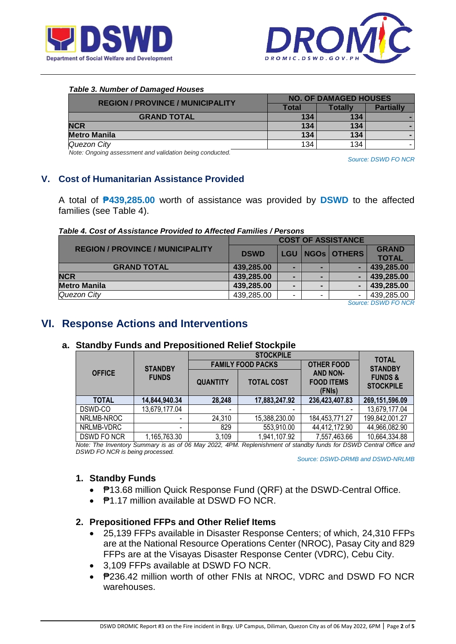



#### *Table 3. Number of Damaged Houses*

| <b>REGION / PROVINCE / MUNICIPALITY</b> | <b>NO. OF DAMAGED HOUSES</b> |         |                  |  |
|-----------------------------------------|------------------------------|---------|------------------|--|
|                                         | Total                        | Totallv | <b>Partially</b> |  |
| <b>GRAND TOTAL</b>                      | 134                          | 134     |                  |  |
| <b>NCR</b>                              | 134                          | 134     |                  |  |
| <b>Metro Manila</b>                     | 134                          | 134     |                  |  |
| Quezon City                             | 134                          | 134     |                  |  |

*Note: Ongoing assessment and validation being conducted.*

*Source: DSWD FO NCR*

### **V. Cost of Humanitarian Assistance Provided**

A total of **₱439,285.00** worth of assistance was provided by **DSWD** to the affected families (see Table 4).

#### *Table 4. Cost of Assistance Provided to Affected Families / Persons*

|                                         | <b>COST OF ASSISTANCE</b> |            |   |             |              |
|-----------------------------------------|---------------------------|------------|---|-------------|--------------|
| <b>REGION / PROVINCE / MUNICIPALITY</b> | <b>DSWD</b>               | <b>LGU</b> |   | NGOS OTHERS | <b>GRAND</b> |
|                                         |                           |            |   |             | <b>TOTAL</b> |
| <b>GRAND TOTAL</b>                      | 439,285.00                |            | - |             | 439,285.00   |
| <b>NCR</b>                              | 439,285.00                |            | - |             | 439,285.00   |
| <b>Metro Manila</b>                     | 439,285.00                |            |   |             | 439,285.00   |
| Quezon City                             | 439,285.00                | -          | - | -           | 439,285.00   |
|                                         |                           |            |   |             |              |

*Source: DSWD FO NCR*

### **VI. Response Actions and Interventions**

### **a. Standby Funds and Prepositioned Relief Stockpile**

|               |                          |                          | <b>STOCKPILE</b>  |                                                | <b>TOTAL</b><br><b>STANDBY</b>         |
|---------------|--------------------------|--------------------------|-------------------|------------------------------------------------|----------------------------------------|
|               | <b>STANDBY</b>           | <b>FAMILY FOOD PACKS</b> |                   | <b>OTHER FOOD</b>                              |                                        |
| <b>OFFICE</b> | <b>FUNDS</b>             | <b>QUANTITY</b>          | <b>TOTAL COST</b> | <b>AND NON-</b><br><b>FOOD ITEMS</b><br>(FNIs) | <b>FUNDS &amp;</b><br><b>STOCKPILE</b> |
| <b>TOTAL</b>  | 14,844,940.34            | 28,248                   | 17,883,247.92     | 236,423,407.83                                 | 269,151,596.09                         |
| DSWD-CO       | 13,679,177.04            | $\overline{\phantom{a}}$ | $\blacksquare$    |                                                | 13,679,177.04                          |
| NRLMB-NROC    | $\overline{\phantom{0}}$ | 24,310                   | 15,388,230.00     | 184,453,771.27                                 | 199,842,001.27                         |
| NRLMB-VDRC    |                          | 829                      | 553,910.00        | 44,412,172.90                                  | 44,966,082.90                          |
| DSWD FO NCR   | 165,763.30               | 3,109                    | 1,941,107.92      | 7,557,463.66                                   | 10,664,334.88                          |

*Note: The Inventory Summary is as of 06 May 2022, 4PM. Replenishment of standby funds for DSWD Central Office and DSWD FO NCR is being processed.*

 *Source: DSWD-DRMB and DSWD-NRLMB*

#### **1. Standby Funds**

- ₱13.68 million Quick Response Fund (QRF) at the DSWD-Central Office.
- **P1.17 million available at DSWD FO NCR.**

#### **2. Prepositioned FFPs and Other Relief Items**

- 25,139 FFPs available in Disaster Response Centers; of which, 24,310 FFPs are at the National Resource Operations Center (NROC), Pasay City and 829 FFPs are at the Visayas Disaster Response Center (VDRC), Cebu City.
- 3,109 FFPs available at DSWD FO NCR.
- P236.42 million worth of other FNIs at NROC, VDRC and DSWD FO NCR warehouses.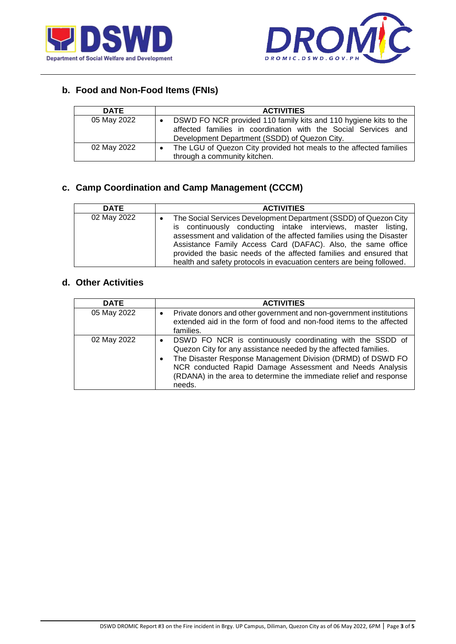



# **b. Food and Non-Food Items (FNIs)**

| <b>DATE</b> | <b>ACTIVITIES</b>                                                                                                                                                                                |
|-------------|--------------------------------------------------------------------------------------------------------------------------------------------------------------------------------------------------|
| 05 May 2022 | DSWD FO NCR provided 110 family kits and 110 hygiene kits to the<br>$\bullet$<br>affected families in coordination with the Social Services and<br>Development Department (SSDD) of Quezon City. |
| 02 May 2022 | The LGU of Quezon City provided hot meals to the affected families<br>through a community kitchen.                                                                                               |

### **c. Camp Coordination and Camp Management (CCCM)**

| <b>DATE</b> | <b>ACTIVITIES</b>                                                                                                                                                                                                                                                                                                                                                                                                                      |
|-------------|----------------------------------------------------------------------------------------------------------------------------------------------------------------------------------------------------------------------------------------------------------------------------------------------------------------------------------------------------------------------------------------------------------------------------------------|
| 02 May 2022 | The Social Services Development Department (SSDD) of Quezon City<br>$\bullet$<br>is continuously conducting intake interviews, master listing,<br>assessment and validation of the affected families using the Disaster<br>Assistance Family Access Card (DAFAC). Also, the same office<br>provided the basic needs of the affected families and ensured that<br>health and safety protocols in evacuation centers are being followed. |

### **d. Other Activities**

| <b>DATE</b> | <b>ACTIVITIES</b>                                                                                                                                                                                                                                                                                                                       |
|-------------|-----------------------------------------------------------------------------------------------------------------------------------------------------------------------------------------------------------------------------------------------------------------------------------------------------------------------------------------|
| 05 May 2022 | Private donors and other government and non-government institutions<br>extended aid in the form of food and non-food items to the affected<br>families.                                                                                                                                                                                 |
| 02 May 2022 | DSWD FO NCR is continuously coordinating with the SSDD of<br>Quezon City for any assistance needed by the affected families.<br>The Disaster Response Management Division (DRMD) of DSWD FO<br>NCR conducted Rapid Damage Assessment and Needs Analysis<br>(RDANA) in the area to determine the immediate relief and response<br>needs. |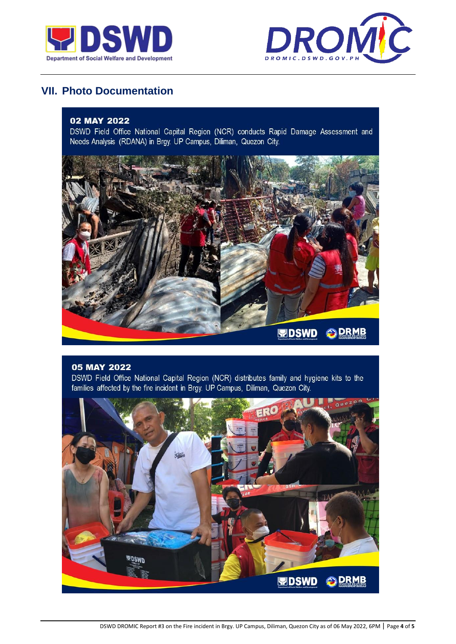



# **VII. Photo Documentation**

#### 02 MAY 2022

DSWD Field Office National Capital Region (NCR) conducts Rapid Damage Assessment and Needs Analysis (RDANA) in Brgy. UP Campus, Diliman, Quezon City.



#### 05 MAY 2022

DSWD Field Office National Capital Region (NCR) distributes family and hygiene kits to the families affected by the fire incident in Brgy. UP Campus, Diliman, Quezon City.